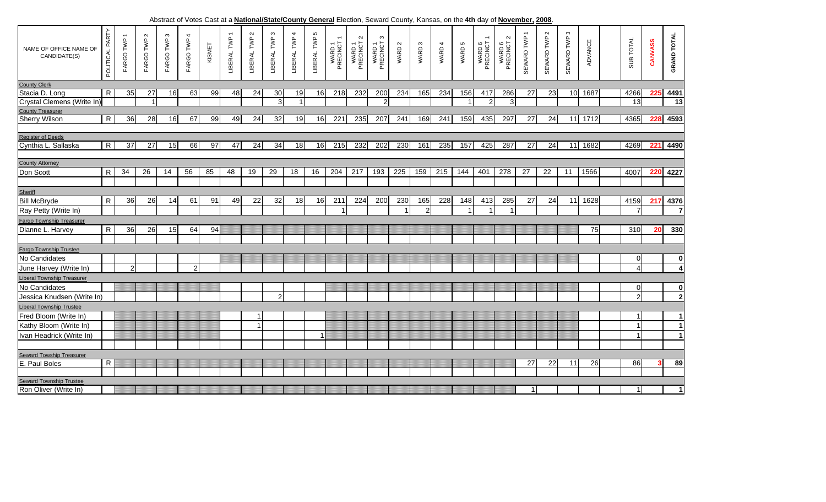Abstract of Votes Cast at a **National/State/County General** Election, Seward County, Kansas, on the **4th** day of **November, 2008**.

| NAME OF OFFICE NAME OF<br>CANDIDATE(S)           | POLITICAL PARTY         | FARGO TWP 1    | $\sim$<br>FARGO TWP | $\boldsymbol{\omega}$<br>FARGO TWP | 4<br>FARGO TWP | KISMET | LIBERAL TWP | LIBERAL TWP 2 | LIBERAL TWP 3  | LIBERAL TWP 4 | LIBERAL TWP 5 | WARD 1<br>PRECINCT | $\sim$<br>WARD 1<br>PRECINCT | ო<br>WARD 1<br>PRECINCT | WARD 2 | WARD <sub>3</sub> | WARD 4 | WARD 5 | $\overline{\phantom{0}}$<br>WARD 6<br>PRECINCT | $\boldsymbol{\sim}$<br>WARD 6<br>PRECINCT | SEWARD TWP 1 | $\sim$<br>SEWARD TWP | $\mathfrak{S}$<br>SEWARD TWP | ADVANCE | SUB TOTAL               | CANVASS | <b>GRAND TOTAL</b>      |
|--------------------------------------------------|-------------------------|----------------|---------------------|------------------------------------|----------------|--------|-------------|---------------|----------------|---------------|---------------|--------------------|------------------------------|-------------------------|--------|-------------------|--------|--------|------------------------------------------------|-------------------------------------------|--------------|----------------------|------------------------------|---------|-------------------------|---------|-------------------------|
| <b>County Clerk</b>                              |                         |                |                     |                                    |                |        |             |               |                |               |               |                    |                              |                         |        |                   |        |        |                                                |                                           |              |                      |                              |         |                         |         |                         |
| Stacia D. Long                                   | $\mathsf{R}$            | 35             | 27                  | 16                                 | 63             | 99     | 48          | 24            | 30             | 19            | 16            | 218                | 232                          | 200                     | 234    | 165               | 234    | 156    | 417                                            | 286                                       | 27           | 23                   | 10                           | 1687    | 4266                    | 225     | 4491                    |
| Crystal Clemens (Write In)                       |                         |                | $\overline{1}$      |                                    |                |        |             |               | $\overline{3}$ |               |               |                    |                              | $\overline{2}$          |        |                   |        |        | 2                                              | 3                                         |              |                      |                              |         | 13                      |         | 13                      |
| <b>County Treasurer</b>                          |                         |                |                     |                                    |                |        |             |               |                |               |               |                    |                              |                         |        |                   |        |        |                                                |                                           |              |                      |                              |         |                         |         |                         |
| <b>Sherry Wilson</b>                             | $\mathsf{R}$            | 36             | 28                  | 16                                 | 67             | 99     | 49          | 24            | 32             | 19            | 16            | 221                | 235                          | 207                     | 241    | 169               | 241    | 159    | 435                                            | 297                                       | 27           | 24                   | 11                           | 1712    | 4365                    | 228     | 4593                    |
|                                                  |                         |                |                     |                                    |                |        |             |               |                |               |               |                    |                              |                         |        |                   |        |        |                                                |                                           |              |                      |                              |         |                         |         |                         |
| <b>Register of Deeds</b>                         |                         |                |                     |                                    |                |        |             |               |                |               |               |                    |                              |                         |        |                   |        |        |                                                |                                           |              |                      |                              |         |                         |         |                         |
| Cynthia L. Sallaska                              | $\overline{\mathbf{z}}$ | 37             | 27                  | 15                                 | 66             | 97     | 47          | 24            | 34             | 18            | 16            | 215                | 232                          | 202                     | 230    | 161               | 235    | 157    | 425                                            | 287                                       | 27           | 24                   | 11                           | 1682    | 4269                    | 221     | 4490                    |
|                                                  |                         |                |                     |                                    |                |        |             |               |                |               |               |                    |                              |                         |        |                   |        |        |                                                |                                           |              |                      |                              |         |                         |         |                         |
| <b>County Attorney</b>                           |                         |                |                     |                                    |                |        |             |               |                |               |               |                    |                              |                         |        |                   |        |        |                                                |                                           |              |                      |                              |         |                         |         |                         |
| Don Scott                                        | $\mathsf{R}$            | 34             | 26                  | 14                                 | 56             | 85     | 48          | 19            | 29             | 18            | 16            | 204                | 217                          | 193                     | 225    | 159               | 215    | 144    | 401                                            | 278                                       | 27           | 22                   | 11                           | 1566    | 4007                    | 220     | 4227                    |
|                                                  |                         |                |                     |                                    |                |        |             |               |                |               |               |                    |                              |                         |        |                   |        |        |                                                |                                           |              |                      |                              |         |                         |         |                         |
| Sheriff                                          |                         |                |                     |                                    |                |        |             |               |                |               |               |                    |                              |                         |        |                   |        |        |                                                |                                           |              |                      |                              |         |                         |         |                         |
| <b>Bill McBryde</b>                              | R                       | 36             | 26                  | 14                                 | 61             | 91     | 49          | 22            | 32             | 18            | 16            | 211                | 224                          | 200                     | 230    | 165               | 228    | 148    | 413                                            | 285                                       | 27           | 24                   | 11                           | 1628    | 4159                    | 217     | 4376                    |
| Ray Petty (Write In)                             |                         |                |                     |                                    |                |        |             |               |                |               |               |                    |                              |                         |        | $\overline{2}$    |        |        |                                                |                                           |              |                      |                              |         | 7                       |         | $\overline{7}$          |
| Fargo Township Treasurer                         |                         |                |                     |                                    |                |        |             |               |                |               |               |                    |                              |                         |        |                   |        |        |                                                |                                           |              |                      |                              |         |                         |         |                         |
| Dianne L. Harvey                                 | $\mathsf{R}$            | 36             | 26                  | 15                                 | 64             | 94     |             |               |                |               |               |                    |                              |                         |        |                   |        |        |                                                |                                           |              |                      |                              | 75      | 310                     | 20      | 330                     |
|                                                  |                         |                |                     |                                    |                |        |             |               |                |               |               |                    |                              |                         |        |                   |        |        |                                                |                                           |              |                      |                              |         |                         |         |                         |
| Fargo Township Trustee                           |                         |                |                     |                                    |                |        |             |               |                |               |               |                    |                              |                         |        |                   |        |        |                                                |                                           |              |                      |                              |         |                         |         |                         |
| No Candidates                                    |                         |                |                     |                                    |                |        |             |               |                |               |               |                    |                              |                         |        |                   |        |        |                                                |                                           |              |                      |                              |         | 0                       |         | $\mathbf 0$             |
| June Harvey (Write In)                           |                         | $\overline{2}$ |                     |                                    | $\overline{2}$ |        |             |               |                |               |               |                    |                              |                         |        |                   |        |        |                                                |                                           |              |                      |                              |         | $\Delta$                |         | $\overline{\mathbf{4}}$ |
| <b>Liberal Township Treasurer</b>                |                         |                |                     |                                    |                |        |             |               |                |               |               |                    |                              |                         |        |                   |        |        |                                                |                                           |              |                      |                              |         |                         |         |                         |
| No Candidates                                    |                         |                |                     |                                    |                |        |             |               |                |               |               |                    |                              |                         |        |                   |        |        |                                                |                                           |              |                      |                              |         | $\mathbf 0$             |         | $\mathbf 0$             |
| Jessica Knudsen (Write In)                       |                         |                |                     |                                    |                |        |             |               | 2 <sub>l</sub> |               |               |                    |                              |                         |        |                   |        |        |                                                |                                           |              |                      |                              |         | $\overline{2}$          |         | $\overline{2}$          |
| <b>Liberal Township Trustee</b>                  |                         |                |                     |                                    |                |        |             |               |                |               |               |                    |                              |                         |        |                   |        |        |                                                |                                           |              |                      |                              |         |                         |         |                         |
| Fred Bloom (Write In)                            |                         |                |                     |                                    |                |        |             |               |                |               |               |                    |                              |                         |        |                   |        |        |                                                |                                           |              |                      |                              |         |                         |         | $\blacktriangleleft$    |
|                                                  |                         |                |                     |                                    |                |        |             | 1             |                |               |               |                    |                              |                         |        |                   |        |        |                                                |                                           |              |                      |                              |         |                         |         | $\mathbf{1}$            |
| Kathy Bloom (Write In)                           |                         |                |                     |                                    |                |        |             |               |                |               |               |                    |                              |                         |        |                   |        |        |                                                |                                           |              |                      |                              |         | $\overline{\mathbf{1}}$ |         |                         |
| Ivan Headrick (Write In)                         |                         |                |                     |                                    |                |        |             |               |                |               |               |                    |                              |                         |        |                   |        |        |                                                |                                           |              |                      |                              |         |                         |         | $\mathbf{1}$            |
|                                                  |                         |                |                     |                                    |                |        |             |               |                |               |               |                    |                              |                         |        |                   |        |        |                                                |                                           |              |                      |                              |         |                         |         |                         |
| <b>Seward Towship Treasurer</b>                  |                         |                |                     |                                    |                |        |             |               |                |               |               |                    |                              |                         |        |                   |        |        |                                                |                                           |              |                      |                              |         |                         |         |                         |
| E. Paul Boles                                    | R                       |                |                     |                                    |                |        |             |               |                |               |               |                    |                              |                         |        |                   |        |        |                                                |                                           | 27           | 22                   | 11                           | 26      | 86                      |         | 89                      |
|                                                  |                         |                |                     |                                    |                |        |             |               |                |               |               |                    |                              |                         |        |                   |        |        |                                                |                                           |              |                      |                              |         |                         |         |                         |
| Seward Township Trustee<br>Ron Oliver (Write In) |                         |                |                     |                                    |                |        |             |               |                |               |               |                    |                              |                         |        |                   |        |        |                                                |                                           |              |                      |                              |         |                         |         |                         |
|                                                  |                         |                |                     |                                    |                |        |             |               |                |               |               |                    |                              |                         |        |                   |        |        |                                                |                                           |              |                      |                              |         | -1                      |         | $\mathbf{1}$            |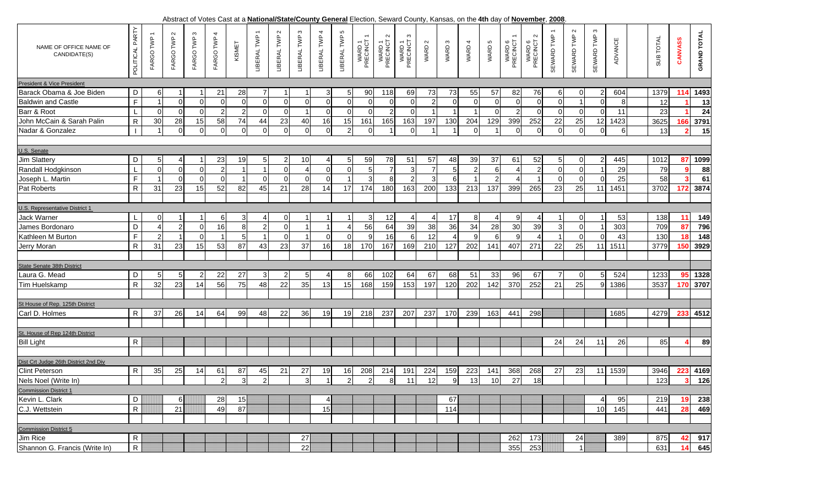|  |  | Abstract of Votes |  |  |  | 5. Cast at a National/State/County General Election, Seward County, Kansas, on the 4th day of November. |  |  |  |  | 2008 |  |  |
|--|--|-------------------|--|--|--|---------------------------------------------------------------------------------------------------------|--|--|--|--|------|--|--|
|  |  |                   |  |  |  |                                                                                                         |  |  |  |  |      |  |  |

| NAME OF OFFICE NAME OF<br>CANDIDATE(S) | POLITICAL PARTY | FARGO TWP 1    | $\sim$<br>FARGO TWP  | $\mathfrak{S}$<br>FARGO TWP | FARGO TWP 4    | KISMET         | LIBERAL TWP    | $\mathbf{\Omega}$<br>LIBERAL TWP | LIBERAL TWP 3   | LIBERAL TWP 4  | $\mathfrak o$<br>LIBERAL TWP | WARD 1<br>PRECINCT 1 | $\sim$<br>WARD 1<br>PRECINCT | ო<br>WARD 1<br>PRECINCT | WARD 2         | WARD 3         | WARD 4         | WARD 5         | WARD 6<br>PRECINCT       | $\sim$<br>WARD 6<br>PRECINCT 2 | SEWARD TWP      | $\mathbf{\Omega}$<br>SEWARD TWP | S<br>SEWARD TWP | ADVANCE | SUB TOTAL | CANVASS     | <b>GRAND TOTAL</b> |
|----------------------------------------|-----------------|----------------|----------------------|-----------------------------|----------------|----------------|----------------|----------------------------------|-----------------|----------------|------------------------------|----------------------|------------------------------|-------------------------|----------------|----------------|----------------|----------------|--------------------------|--------------------------------|-----------------|---------------------------------|-----------------|---------|-----------|-------------|--------------------|
| President & Vice President             |                 |                |                      |                             |                |                |                |                                  |                 |                |                              |                      |                              |                         |                |                |                |                |                          |                                |                 |                                 |                 |         |           |             |                    |
| Barack Obama & Joe Biden               | D               | 6              |                      |                             | 21             | 28             | 7              |                                  | $\overline{1}$  | 3              | 5                            | 90                   | 118                          | 69                      | 73             | 73             | 55             | 57             | 82                       | 76                             | 6               | 0                               | 2               | 604     | 1379      | 114         | 1493               |
| <b>Baldwin and Castle</b>              | $\mathsf F$     |                | $\overline{0}$       | $\Omega$                    | $\Omega$       | $\mathbf 0$    | $\Omega$       | $\mathbf 0$                      | $\Omega$        | $\overline{0}$ | $\mathbf 0$                  | $\Omega$             | $\mathbf 0$                  | $\Omega$                | $\overline{2}$ | 0              | $\mathbf 0$    | $\Omega$       | $\mathbf 0$              | $\overline{0}$                 | $\overline{0}$  |                                 | ∩               | 8       | 12        |             | 13                 |
| Barr & Root                            |                 | $\overline{0}$ | $\overline{0}$       | $\mathbf 0$                 | 2              | $\sqrt{2}$     | $\Omega$       | $\mathbf 0$                      | $\mathbf{1}$    | $\overline{0}$ | $\mathbf 0$                  | $\Omega$             | $\overline{2}$               | $\Omega$                | -1             |                | $\mathbf{1}$   | $\mathbf 0$    | $\overline{2}$           | $\overline{0}$                 | $\overline{0}$  | $\mathbf 0$                     | $\Omega$        | 11      | 23        |             | 24                 |
| John McCain & Sarah Palin              | ${\sf R}$       | 30             | 28                   | 15                          | 58             | 74             | 44             | 23                               | 40              | 16             | 15                           | 161                  | 165                          | 163                     | 197            | 130            | 204            | 129            | 399                      | 252                            | 22              | 25                              | 12              | 1423    | 3625      | 166         | 3791               |
| Nadar & Gonzalez                       |                 | -1             | $\overline{0}$       | $\mathbf 0$                 | $\Omega$       | $\overline{0}$ | $\Omega$       | $\overline{0}$                   | $\overline{0}$  | $\overline{0}$ | $\overline{2}$               | $\Omega$             |                              | $\Omega$                |                |                | $\overline{0}$ | $\overline{1}$ | $\Omega$                 | $\overline{0}$                 | $\overline{0}$  | $\mathbf 0$                     | $\Omega$        | 6       | 13        | $\mathbf 2$ | 15                 |
|                                        |                 |                |                      |                             |                |                |                |                                  |                 |                |                              |                      |                              |                         |                |                |                |                |                          |                                |                 |                                 |                 |         |           |             |                    |
| U.S. Senate                            |                 |                |                      |                             |                |                |                |                                  |                 |                |                              |                      |                              |                         |                |                |                |                |                          |                                |                 |                                 |                 |         |           |             |                    |
| <b>Jim Slattery</b>                    | D               | 51             | $\overline{4}$       |                             | 23             | 19             | 5              | -2                               | 10 <sup>1</sup> | $\overline{4}$ | 5                            | 59                   | 78                           | 51                      | 57             | 48             | 39             | 37             | 61                       | 52                             | $5\overline{)}$ | 0                               |                 | 445     | 1012      | 87          | 1099               |
| Randall Hodgkinson                     | $\mathsf{L}%$   | $\overline{0}$ | $\overline{0}$       | $\mathbf 0$                 | $\mathcal{D}$  |                |                | $\Omega$                         | Δ               | $\overline{0}$ | $\mathbf 0$                  | 5                    | $\overline{7}$               | 3                       | $\overline{7}$ | 5 <sub>5</sub> | $\overline{2}$ | 6              | $\boldsymbol{\varDelta}$ | 2                              | $\overline{0}$  | $\mathbf 0$                     |                 | 29      | 79        |             | 88                 |
| Joseph L. Martin                       | $\mathsf F$     |                | $\Omega$             | $\Omega$                    | $\Omega$       |                | $\Omega$       | $\Omega$                         | <sup>0</sup>    | $\Omega$       | -1                           | $\mathcal{E}$        | 8                            | $\mathfrak{p}$          | 3              | 6              |                | $\mathcal{P}$  |                          |                                | $\overline{0}$  | $\Omega$                        | $\Omega$        | 25      | 58        |             | 61                 |
| Pat Roberts                            | $\mathsf{R}$    | 31             | 23                   | 15                          | 52             | 82             | 45             | 21                               | 28              | 14             | 17                           | 174                  | 180                          | 163                     | 200            | 133            | 213            | 137            | 399                      | 265                            | 23              | 25                              | 11              | 1451    | 3702      | 172         | 3874               |
|                                        |                 |                |                      |                             |                |                |                |                                  |                 |                |                              |                      |                              |                         |                |                |                |                |                          |                                |                 |                                 |                 |         |           |             |                    |
| U.S. Representative District 1         |                 |                |                      |                             |                |                |                |                                  |                 |                |                              |                      |                              |                         |                |                |                |                |                          |                                |                 |                                 |                 |         |           |             |                    |
| Jack Warner                            |                 | 0              | -1                   |                             | 61             | 3              | $\overline{4}$ | 0                                | $\mathbf 1$     | $\overline{1}$ | $\mathbf 1$                  | 3                    | 12                           | $\overline{4}$          | -4             | 17             | 8              | 4              | 9                        | 4                              | $\overline{1}$  | 0                               |                 | 53      | 138       | 11          | 149                |
| James Bordonaro                        | D               | 4              | $\overline{2}$       | $\mathbf 0$                 | 16             | $\bf 8$        | $\overline{2}$ | $\mathbf 0$                      |                 | $\overline{1}$ | $\overline{4}$               | 56                   | 64                           | 39                      | 38             | 36             | 34             | 28             | 30                       | 39                             | $\mathbf{3}$    | $\mathbf 0$                     |                 | 303     | 709       | 87          | 796                |
| Kathleen M Burton                      | $\mathsf F$     | $\mathfrak{p}$ | $\blacktriangleleft$ | $\Omega$                    |                | $\overline{5}$ |                | $\Omega$                         | $\overline{1}$  | $\Omega$       | $\Omega$                     | -9                   | 16                           | 6                       | 12             | $\overline{4}$ | 9              | 6              | 9                        | 4                              | $\overline{1}$  | $\Omega$                        | $\Omega$        | 43      | 130       | 18          | 148                |
| Jerry Moran                            | $\mathsf{R}$    | 31             | 23                   | 15                          | 53             | 87             | 43             | 23                               | 37              | 16             | 18                           | 170                  | 167                          | 169                     | 210            | 127            | 202            | 141            | 407                      | 271                            | 22              | 25                              | 11              | 1511    | 3779      | 150         | 3929               |
|                                        |                 |                |                      |                             |                |                |                |                                  |                 |                |                              |                      |                              |                         |                |                |                |                |                          |                                |                 |                                 |                 |         |           |             |                    |
| State Senate 38th District             |                 |                |                      |                             |                |                |                |                                  |                 |                |                              |                      |                              |                         |                |                |                |                |                          |                                |                 |                                 |                 |         |           |             |                    |
| Laura G. Mead                          | D               | 5              | 5                    |                             | 22             | 27             | 3              | 2                                | 5 <sub>l</sub>  |                | 8                            | 66                   | 102                          | 64                      | 67             | 68             | 51             | 33             | 96                       | 67                             | $\overline{7}$  | $\Omega$                        |                 | 524     | 1233      | 95          | 1328               |
| Tim Huelskamp                          | $\mathsf{R}$    | 32             | 23                   | 14                          | 56             | 75             | 48             | 22                               | 35              | 13             | 15                           | 168                  | 159                          | 153                     | 197            | 120            | 202            | 142            | 370                      | 252                            | 21              | 25                              | 9               | 1386    | 3537      | 170         | 3707               |
|                                        |                 |                |                      |                             |                |                |                |                                  |                 |                |                              |                      |                              |                         |                |                |                |                |                          |                                |                 |                                 |                 |         |           |             |                    |
| St House of Rep. 125th District        |                 |                |                      |                             |                |                |                |                                  |                 |                |                              |                      |                              |                         |                |                |                |                |                          |                                |                 |                                 |                 |         |           |             |                    |
| Carl D. Holmes                         | R.              | 37             | 26                   | 14                          | 64             | 99             | 48             | 22                               | 36              | 19             | 19                           | 218                  | 237                          | 207                     | 237            | 170            | 239            | 163            | 441                      | 298                            |                 |                                 |                 | 1685    | 4279      | 233         | 4512               |
|                                        |                 |                |                      |                             |                |                |                |                                  |                 |                |                              |                      |                              |                         |                |                |                |                |                          |                                |                 |                                 |                 |         |           |             |                    |
| St. House of Rep 124th District        |                 |                |                      |                             |                |                |                |                                  |                 |                |                              |                      |                              |                         |                |                |                |                |                          |                                |                 |                                 |                 |         |           |             |                    |
| <b>Bill Light</b>                      | $\mathsf{R}$    |                |                      |                             |                |                |                |                                  |                 |                |                              |                      |                              |                         |                |                |                |                |                          |                                | 24              | 24                              | 11              | 26      | 85        |             | 89                 |
|                                        |                 |                |                      |                             |                |                |                |                                  |                 |                |                              |                      |                              |                         |                |                |                |                |                          |                                |                 |                                 |                 |         |           |             |                    |
| Dist Crt Judge 26th District 2nd Div   |                 |                |                      |                             |                |                |                |                                  |                 |                |                              |                      |                              |                         |                |                |                |                |                          |                                |                 |                                 |                 |         |           |             |                    |
| <b>Clint Peterson</b>                  | $\mathsf{R}$    | 35             | 25                   | 14                          | 61             | 87             | 45             | 21                               | 27              | 19             | 16                           | 208                  | 214                          | 191                     | 224            | 159            | 223            | 141            | 368                      | 268                            | 27              | 23                              | 11              | 1539    | 3946      | 223         | 4169               |
| Nels Noel (Write In)                   |                 |                |                      |                             | $\overline{2}$ | $\overline{3}$ | $\overline{2}$ |                                  | $\overline{3}$  |                | $\mathcal{P}$                |                      | 8                            | 11                      | 12             | 9              | 13             | 10             | 27                       | 18                             |                 |                                 |                 |         | 123       |             | 126                |
| <b>Commission District 1</b>           |                 |                |                      |                             |                |                |                |                                  |                 |                |                              |                      |                              |                         |                |                |                |                |                          |                                |                 |                                 |                 |         |           |             |                    |
| Kevin L. Clark                         | D               |                | 6                    |                             | 28             | 15             |                |                                  |                 | $\overline{4}$ |                              |                      |                              |                         |                | 67             |                |                |                          |                                |                 |                                 |                 | 95      | 219       | 19          | 238                |
| C.J. Wettstein                         | $\mathsf{R}$    |                | 21                   |                             | 49             | 87             |                |                                  |                 | 15             |                              |                      |                              |                         |                | 114            |                |                |                          |                                |                 |                                 | 10              | 145     | 441       | 28          | 469                |
|                                        |                 |                |                      |                             |                |                |                |                                  |                 |                |                              |                      |                              |                         |                |                |                |                |                          |                                |                 |                                 |                 |         |           |             |                    |
| <b>Commission District 5</b>           |                 |                |                      |                             |                |                |                |                                  |                 |                |                              |                      |                              |                         |                |                |                |                |                          |                                |                 |                                 |                 |         |           |             |                    |
| Jim Rice                               | $\mathsf{R}$    |                |                      |                             |                |                |                |                                  | 27              |                |                              |                      |                              |                         |                |                |                |                | 262                      | 173                            |                 | 24                              |                 | 389     | 875       | 42          | 917                |
| Shannon G. Francis (Write In)          | $\overline{R}$  |                |                      |                             |                |                |                |                                  | 22              |                |                              |                      |                              |                         |                |                |                |                | 355                      | 253                            |                 | $\vert$ 1                       |                 |         | 631       | 14          | 645                |